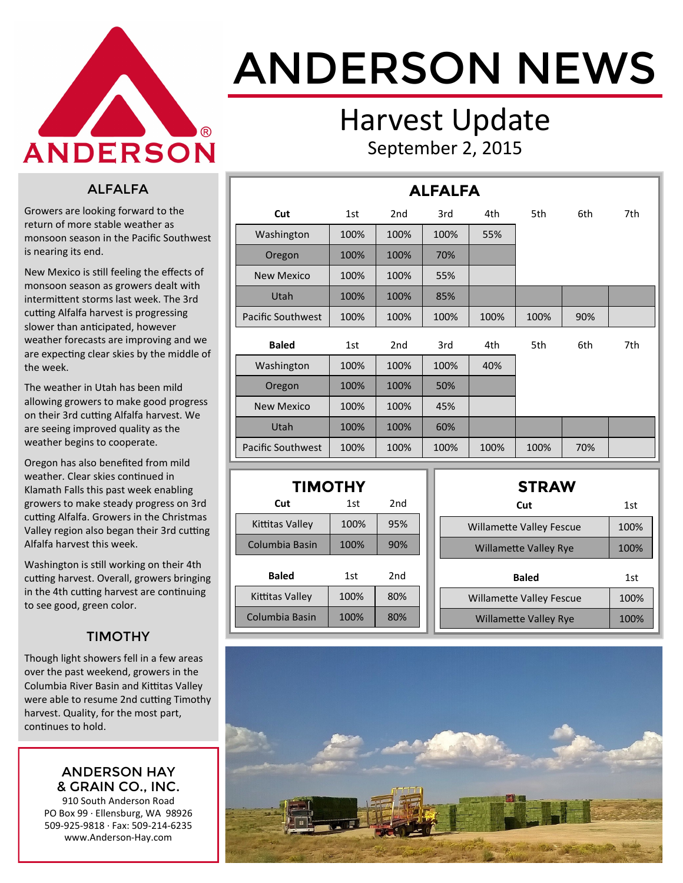

# ANDERSON NEWS

### Harvest Update September 2, 2015

#### ALFALFA

Growers are looking forward to the return of more stable weather as monsoon season in the Pacific Southwest is nearing its end.

New Mexico is still feeling the effects of monsoon season as growers dealt with intermittent storms last week. The 3rd cutting Alfalfa harvest is progressing slower than anticipated, however weather forecasts are improving and we are expecting clear skies by the middle of the week.

The weather in Utah has been mild allowing growers to make good progress on their 3rd cutting Alfalfa harvest. We are seeing improved quality as the weather begins to cooperate.

Oregon has also benefited from mild weather. Clear skies continued in Klamath Falls this past week enabling growers to make steady progress on 3rd cutting Alfalfa. Growers in the Christmas Valley region also began their 3rd cutting Alfalfa harvest this week.

Washington is still working on their 4th cutting harvest. Overall, growers bringing in the 4th cutting harvest are continuing to see good, green color.

#### TIMOTHY

Though light showers fell in a few areas over the past weekend, growers in the Columbia River Basin and Kittitas Valley were able to resume 2nd cutting Timothy harvest. Quality, for the most part, continues to hold.

#### ANDERSON HAY & GRAIN CO., INC.

910 South Anderson Road PO Box 99 · Ellensburg, WA 98926 509-925-9818 · Fax: 509-214-6235 www.Anderson-Hay.com

| <b>ALFALFA</b>           |      |                 |      |      |      |     |     |  |  |
|--------------------------|------|-----------------|------|------|------|-----|-----|--|--|
| Cut                      | 1st  | 2 <sub>nd</sub> | 3rd  | 4th  | 5th  | 6th | 7th |  |  |
| Washington               | 100% | 100%            | 100% | 55%  |      |     |     |  |  |
| Oregon                   | 100% | 100%            | 70%  |      |      |     |     |  |  |
| <b>New Mexico</b>        | 100% | 100%            | 55%  |      |      |     |     |  |  |
| Utah                     | 100% | 100%            | 85%  |      |      |     |     |  |  |
| <b>Pacific Southwest</b> | 100% | 100%            | 100% | 100% | 100% | 90% |     |  |  |
| <b>Baled</b>             | 1st  | 2 <sub>nd</sub> | 3rd  | 4th  | 5th  | 6th | 7th |  |  |
| Washington               | 100% | 100%            | 100% | 40%  |      |     |     |  |  |
| Oregon                   | 100% | 100%            | 50%  |      |      |     |     |  |  |
| <b>New Mexico</b>        | 100% | 100%            | 45%  |      |      |     |     |  |  |
| Utah                     | 100% | 100%            | 60%  |      |      |     |     |  |  |
| <b>Pacific Southwest</b> | 100% | 100%            | 100% | 100% | 100% | 70% |     |  |  |

| <b>TIMOTHY</b>  |      |     |  |  |  |  |  |  |  |
|-----------------|------|-----|--|--|--|--|--|--|--|
| Cut             | 1st  | 2nd |  |  |  |  |  |  |  |
| Kittitas Valley | 100% | 95% |  |  |  |  |  |  |  |
| Columbia Basin  | 100% | 90% |  |  |  |  |  |  |  |
| <b>Baled</b>    | 1st  | 2nd |  |  |  |  |  |  |  |
| Kittitas Valley | 100% | 80% |  |  |  |  |  |  |  |
| Columbia Basin  | 100% | 80% |  |  |  |  |  |  |  |

| <b>STRAW</b>                    |      |
|---------------------------------|------|
| Cut                             | 1st  |
| <b>Willamette Valley Fescue</b> | 100% |
| <b>Willamette Valley Rye</b>    | 100% |
| <b>Baled</b>                    | 1st  |
| <b>Willamette Valley Fescue</b> | 100% |
| <b>Willamette Valley Rye</b>    | 100% |